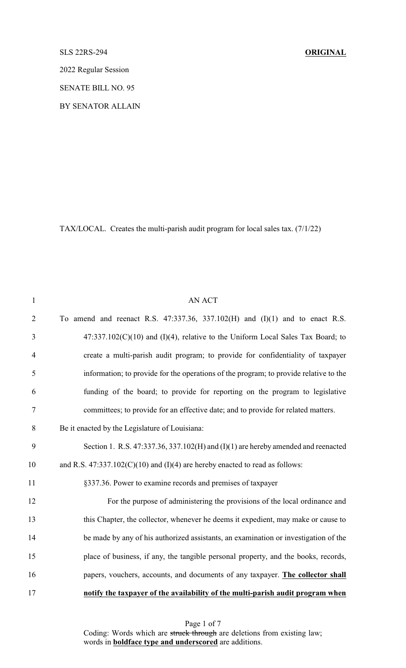## SLS 22RS-294 **ORIGINAL**

2022 Regular Session

SENATE BILL NO. 95

BY SENATOR ALLAIN

TAX/LOCAL. Creates the multi-parish audit program for local sales tax. (7/1/22)

| $\mathbf{1}$   | <b>AN ACT</b>                                                                            |
|----------------|------------------------------------------------------------------------------------------|
| $\overline{2}$ | To amend and reenact R.S. $47:337.36$ , $337.102(H)$ and $(I)(1)$ and to enact R.S.      |
| $\mathfrak{Z}$ | $47:337.102(C)(10)$ and (I)(4), relative to the Uniform Local Sales Tax Board; to        |
| $\overline{4}$ | create a multi-parish audit program; to provide for confidentiality of taxpayer          |
| 5              | information; to provide for the operations of the program; to provide relative to the    |
| 6              | funding of the board; to provide for reporting on the program to legislative             |
| 7              | committees; to provide for an effective date; and to provide for related matters.        |
| $8\,$          | Be it enacted by the Legislature of Louisiana:                                           |
| 9              | Section 1. R.S. $47:337.36$ , $337.102(H)$ and $(I)(1)$ are hereby amended and reenacted |
| 10             | and R.S. $47:337.102(C)(10)$ and (I)(4) are hereby enacted to read as follows:           |
| 11             | §337.36. Power to examine records and premises of taxpayer                               |
| 12             | For the purpose of administering the provisions of the local ordinance and               |
| 13             | this Chapter, the collector, whenever he deems it expedient, may make or cause to        |
| 14             | be made by any of his authorized assistants, an examination or investigation of the      |
| 15             | place of business, if any, the tangible personal property, and the books, records,       |
| 16             | papers, vouchers, accounts, and documents of any taxpayer. The collector shall           |
| 17             | notify the taxpayer of the availability of the multi-parish audit program when           |

Page 1 of 7 Coding: Words which are struck through are deletions from existing law; words in **boldface type and underscored** are additions.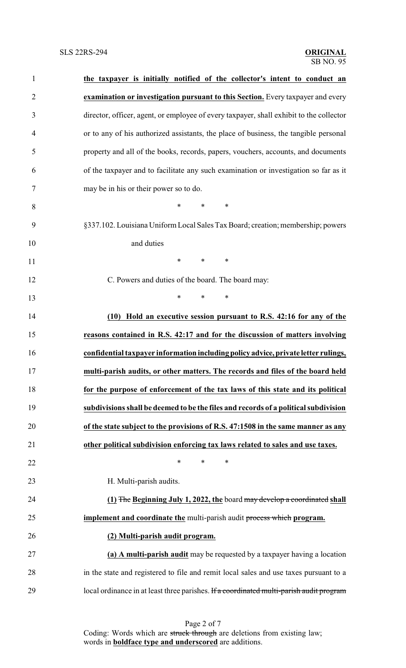| $\mathbf{1}$   | the taxpayer is initially notified of the collector's intent to conduct an              |
|----------------|-----------------------------------------------------------------------------------------|
| $\overline{2}$ | examination or investigation pursuant to this Section. Every taxpayer and every         |
| 3              | director, officer, agent, or employee of every taxpayer, shall exhibit to the collector |
| 4              | or to any of his authorized assistants, the place of business, the tangible personal    |
| 5              | property and all of the books, records, papers, vouchers, accounts, and documents       |
| 6              | of the taxpayer and to facilitate any such examination or investigation so far as it    |
| 7              | may be in his or their power so to do.                                                  |
| 8              | *<br>$\ast$<br>∗                                                                        |
| 9              | §337.102. Louisiana Uniform Local Sales Tax Board; creation; membership; powers         |
| 10             | and duties                                                                              |
| 11             | $\ast$<br>$\ast$<br>$\ast$                                                              |
| 12             | C. Powers and duties of the board. The board may:                                       |
| 13             | *<br>$\ast$<br>∗                                                                        |
| 14             | (10) Hold an executive session pursuant to R.S. 42:16 for any of the                    |
| 15             | reasons contained in R.S. 42:17 and for the discussion of matters involving             |
| 16             | confidential taxpayer information including policy advice, private letter rulings,      |
| 17             | multi-parish audits, or other matters. The records and files of the board held          |
| 18             | for the purpose of enforcement of the tax laws of this state and its political          |
| 19             | subdivisions shall be deemed to be the files and records of a political subdivision     |
| 20             | of the state subject to the provisions of R.S. 47:1508 in the same manner as any        |
| 21             | other political subdivision enforcing tax laws related to sales and use taxes.          |
| 22             | $\ast$<br>*<br>$\ast$                                                                   |
| 23             | H. Multi-parish audits.                                                                 |
| 24             | (1) The Beginning July 1, 2022, the board may develop a coordinated shall               |
| 25             | <b>implement and coordinate the multi-parish audit process which program.</b>           |
| 26             | (2) Multi-parish audit program.                                                         |
| 27             | (a) A multi-parish audit may be requested by a taxpayer having a location               |
| 28             | in the state and registered to file and remit local sales and use taxes pursuant to a   |
| 29             | local ordinance in at least three parishes. If a coordinated multi-parish audit program |

Page 2 of 7 Coding: Words which are struck through are deletions from existing law; words in **boldface type and underscored** are additions.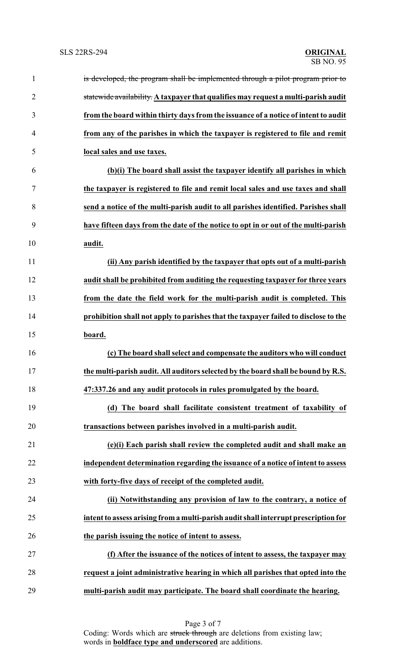| $\mathbf{1}$   | is developed, the program shall be implemented through a pilot program prior to     |
|----------------|-------------------------------------------------------------------------------------|
| $\overline{2}$ | statewide availability. A taxpayer that qualifies may request a multi-parish audit  |
| 3              | from the board within thirty days from the issuance of a notice of intent to audit  |
| 4              | from any of the parishes in which the taxpayer is registered to file and remit      |
| 5              | local sales and use taxes.                                                          |
| 6              | (b)(i) The board shall assist the taxpayer identify all parishes in which           |
| 7              | the taxpayer is registered to file and remit local sales and use taxes and shall    |
| 8              | send a notice of the multi-parish audit to all parishes identified. Parishes shall  |
| 9              | have fifteen days from the date of the notice to opt in or out of the multi-parish  |
| 10             | audit.                                                                              |
| 11             | (ii) Any parish identified by the taxpayer that opts out of a multi-parish          |
| 12             | audit shall be prohibited from auditing the requesting taxpayer for three years     |
| 13             | from the date the field work for the multi-parish audit is completed. This          |
| 14             | prohibition shall not apply to parishes that the taxpayer failed to disclose to the |
| 15             | board.                                                                              |
| 16             | (c) The board shall select and compensate the auditors who will conduct             |
| 17             | the multi-parish audit. All auditors selected by the board shall be bound by R.S.   |
| 18             | 47:337.26 and any audit protocols in rules promulgated by the board.                |
| 19             | (d) The board shall facilitate consistent treatment of taxability of                |
| 20             | transactions between parishes involved in a multi-parish audit.                     |
| 21             | (e)(i) Each parish shall review the completed audit and shall make an               |
| 22             | independent determination regarding the issuance of a notice of intent to assess    |
| 23             | with forty-five days of receipt of the completed audit.                             |
| 24             | (ii) Notwithstanding any provision of law to the contrary, a notice of              |
| 25             | intent to assess arising from a multi-parish audit shall interrupt prescription for |
| 26             | the parish issuing the notice of intent to assess.                                  |
| 27             | (f) After the issuance of the notices of intent to assess, the taxpayer may         |
| 28             | request a joint administrative hearing in which all parishes that opted into the    |
| 29             | multi-parish audit may participate. The board shall coordinate the hearing.         |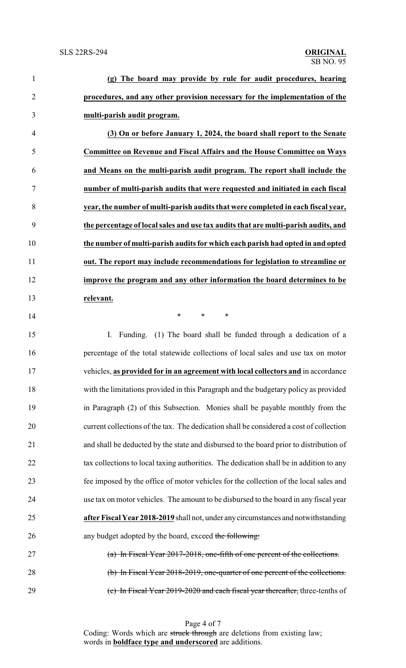| $\mathbf{1}$   | (g) The board may provide by rule for audit procedures, hearing                         |  |
|----------------|-----------------------------------------------------------------------------------------|--|
| $\overline{2}$ | procedures, and any other provision necessary for the implementation of the             |  |
| 3              | multi-parish audit program.                                                             |  |
| $\overline{4}$ | (3) On or before January 1, 2024, the board shall report to the Senate                  |  |
| 5              | Committee on Revenue and Fiscal Affairs and the House Committee on Ways                 |  |
| 6              | and Means on the multi-parish audit program. The report shall include the               |  |
| 7              | number of multi-parish audits that were requested and initiated in each fiscal          |  |
| 8              | year, the number of multi-parish audits that were completed in each fiscal year,        |  |
| 9              | the percentage of local sales and use tax audits that are multi-parish audits, and      |  |
| 10             | the number of multi-parish audits for which each parish had opted in and opted          |  |
| 11             | out. The report may include recommendations for legislation to streamline or            |  |
| 12             | improve the program and any other information the board determines to be                |  |
| 13             | relevant.                                                                               |  |
| 14             | *<br>$\ast$<br>∗                                                                        |  |
| 15             | Funding. (1) The board shall be funded through a dedication of a<br>Ι.                  |  |
| 16             | percentage of the total statewide collections of local sales and use tax on motor       |  |
| 17             | vehicles, as provided for in an agreement with local collectors and in accordance       |  |
| 18             | with the limitations provided in this Paragraph and the budgetary policy as provided    |  |
| 19             | in Paragraph (2) of this Subsection. Monies shall be payable monthly from the           |  |
| 20             | current collections of the tax. The dedication shall be considered a cost of collection |  |
| 21             | and shall be deducted by the state and disbursed to the board prior to distribution of  |  |
| 22             | tax collections to local taxing authorities. The dedication shall be in addition to any |  |
| 23             | fee imposed by the office of motor vehicles for the collection of the local sales and   |  |
| 24             | use tax on motor vehicles. The amount to be disbursed to the board in any fiscal year   |  |
| 25             | after Fiscal Year 2018-2019 shall not, under any circumstances and notwithstanding      |  |
| 26             | any budget adopted by the board, exceed the following:                                  |  |
| 27             | (a) In Fiscal Year 2017-2018, one-fifth of one percent of the collections.              |  |
| 28             | (b) In Fiscal Year 2018-2019, one-quarter of one percent of the collections.            |  |
| 29             | (c) In Fiscal Year 2019-2020 and each fiscal year thereafter, three-tenths of           |  |

Page 4 of 7 Coding: Words which are struck through are deletions from existing law; words in **boldface type and underscored** are additions.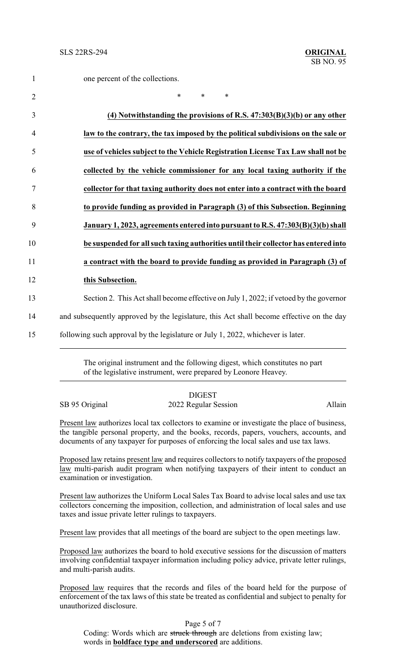| $\mathbf{1}$   | one percent of the collections.                                                          |
|----------------|------------------------------------------------------------------------------------------|
| $\overline{2}$ | $\ast$<br>$\ast$<br>$\ast$                                                               |
| 3              | $(4)$ Notwithstanding the provisions of R.S. $47:303(B)(3)(b)$ or any other              |
| $\overline{4}$ | law to the contrary, the tax imposed by the political subdivisions on the sale or        |
| 5              | use of vehicles subject to the Vehicle Registration License Tax Law shall not be         |
| 6              | collected by the vehicle commissioner for any local taxing authority if the              |
| 7              | collector for that taxing authority does not enter into a contract with the board        |
| 8              | to provide funding as provided in Paragraph (3) of this Subsection. Beginning            |
| 9              | January 1, 2023, agreements entered into pursuant to R.S. 47:303(B)(3)(b) shall          |
| 10             | be suspended for all such taxing authorities until their collector has entered into      |
| 11             | a contract with the board to provide funding as provided in Paragraph (3) of             |
| 12             | this Subsection.                                                                         |
| 13             | Section 2. This Act shall become effective on July 1, 2022; if vetoed by the governor    |
| 14             | and subsequently approved by the legislature, this Act shall become effective on the day |
| 15             | following such approval by the legislature or July 1, 2022, whichever is later.          |
|                |                                                                                          |

The original instrument and the following digest, which constitutes no part of the legislative instrument, were prepared by Leonore Heavey.

|                | <b>DIGEST</b>        |        |
|----------------|----------------------|--------|
| SB 95 Original | 2022 Regular Session | Allain |

Present law authorizes local tax collectors to examine or investigate the place of business, the tangible personal property, and the books, records, papers, vouchers, accounts, and documents of any taxpayer for purposes of enforcing the local sales and use tax laws.

Proposed law retains present law and requires collectors to notify taxpayers of the proposed law multi-parish audit program when notifying taxpayers of their intent to conduct an examination or investigation.

Present law authorizes the Uniform Local Sales Tax Board to advise local sales and use tax collectors concerning the imposition, collection, and administration of local sales and use taxes and issue private letter rulings to taxpayers.

Present law provides that all meetings of the board are subject to the open meetings law.

Proposed law authorizes the board to hold executive sessions for the discussion of matters involving confidential taxpayer information including policy advice, private letter rulings, and multi-parish audits.

Proposed law requires that the records and files of the board held for the purpose of enforcement of the tax laws of this state be treated as confidential and subject to penalty for unauthorized disclosure.

Page 5 of 7 Coding: Words which are struck through are deletions from existing law; words in **boldface type and underscored** are additions.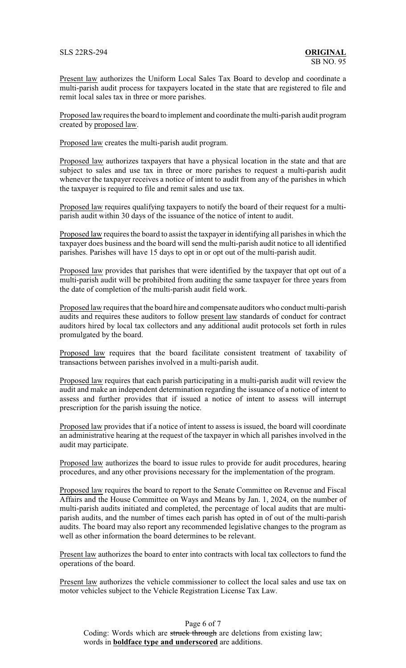Present law authorizes the Uniform Local Sales Tax Board to develop and coordinate a multi-parish audit process for taxpayers located in the state that are registered to file and remit local sales tax in three or more parishes.

Proposed law requires the board to implement and coordinate the multi-parish audit program created by proposed law.

Proposed law creates the multi-parish audit program.

Proposed law authorizes taxpayers that have a physical location in the state and that are subject to sales and use tax in three or more parishes to request a multi-parish audit whenever the taxpayer receives a notice of intent to audit from any of the parishes in which the taxpayer is required to file and remit sales and use tax.

Proposed law requires qualifying taxpayers to notify the board of their request for a multiparish audit within 30 days of the issuance of the notice of intent to audit.

Proposed law requires the board to assist the taxpayer in identifying all parishes in which the taxpayer does business and the board will send the multi-parish audit notice to all identified parishes. Parishes will have 15 days to opt in or opt out of the multi-parish audit.

Proposed law provides that parishes that were identified by the taxpayer that opt out of a multi-parish audit will be prohibited from auditing the same taxpayer for three years from the date of completion of the multi-parish audit field work.

Proposed law requires that the board hire and compensate auditors who conduct multi-parish audits and requires these auditors to follow present law standards of conduct for contract auditors hired by local tax collectors and any additional audit protocols set forth in rules promulgated by the board.

Proposed law requires that the board facilitate consistent treatment of taxability of transactions between parishes involved in a multi-parish audit.

Proposed law requires that each parish participating in a multi-parish audit will review the audit and make an independent determination regarding the issuance of a notice of intent to assess and further provides that if issued a notice of intent to assess will interrupt prescription for the parish issuing the notice.

Proposed law provides that if a notice of intent to assess is issued, the board will coordinate an administrative hearing at the request of the taxpayer in which all parishes involved in the audit may participate.

Proposed law authorizes the board to issue rules to provide for audit procedures, hearing procedures, and any other provisions necessary for the implementation of the program.

Proposed law requires the board to report to the Senate Committee on Revenue and Fiscal Affairs and the House Committee on Ways and Means by Jan. 1, 2024, on the number of multi-parish audits initiated and completed, the percentage of local audits that are multiparish audits, and the number of times each parish has opted in of out of the multi-parish audits. The board may also report any recommended legislative changes to the program as well as other information the board determines to be relevant.

Present law authorizes the board to enter into contracts with local tax collectors to fund the operations of the board.

Present law authorizes the vehicle commissioner to collect the local sales and use tax on motor vehicles subject to the Vehicle Registration License Tax Law.

Page 6 of 7 Coding: Words which are struck through are deletions from existing law; words in **boldface type and underscored** are additions.